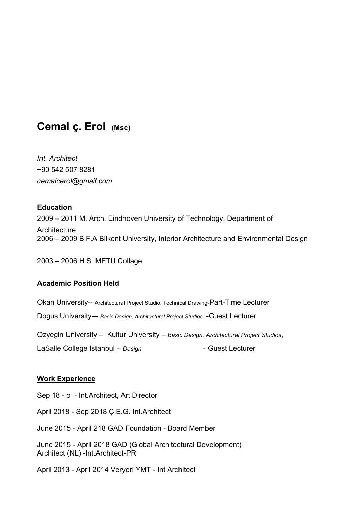# **Cemal ç. Erol (Msc)**

*Int. Architect*  +90 542 507 8281 *cemalcerol@gmail.com*

#### **Education**

2009 – 2011 M. Arch. Eindhoven University of Technology, Department of **Architecture** 2006 – 2009 B.F.A Bilkent University, Interior Architecture and Environmental Design

2003 – 2006 H.S. METU Collage

#### **Academic Position Held**

Okan University-- Architectural Project Studio, Technical Drawing-Part-Time Lecturer

Dogus University-– *Basic Design, Architectural Project Studios* -Guest Lecturer

Ozyegin University – Kultur University – *Basic Design, Architectural Project Studios*,

LaSalle College Istanbul – Design **Frankling Collecturer** - Guest Lecturer

#### **Work Experience**

Sep 18 - p - Int.Architect, Art Director

April 2018 - Sep 2018 Ç.E.G. Int.Architect

June 2015 - April 218 GAD Foundation - Board Member

June 2015 - April 2018 GAD (Global Architectural Development) Architect (NL) -Int.Architect-PR

April 2013 - April 2014 Veryeri YMT - Int Architect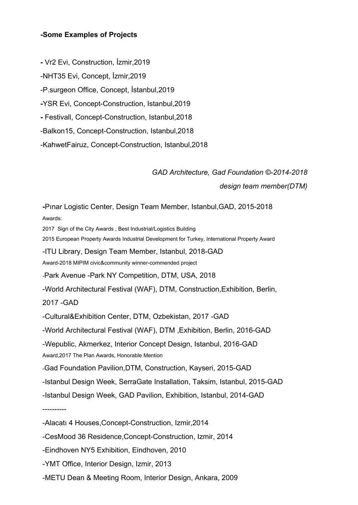#### **-Some Examples of Projects**

**-** Vr2 Evi, Construction, İzmir,2019

-NHT35 Evi, Concept, İzmir,2019

-P.surgeon Office, Concept, İstanbul,2019

**-**YSR Evi, Concept-Construction, Istanbul,2019

**-** Festivall, Concept-Construction, Istanbul,2018

-Balkon15, Concept-Construction, Istanbul,2018

-KahwetFairuz, Concept-Construction, Istanbul,2018

## *GAD Architecture, Gad Foundation ©-2014-2018 design team member(DTM)*

**-**Pınar Logistic Center, Design Team Member, Istanbul,GAD, 2015-2018 Awards: 2017 Sign of the City Awards , Best Industrial/Logistics Building 2015 European Property Awards Industrial Development for Turkey, International Property Award -ITU Library, Design Team Member, Istanbul, 2018-GAD Award-2018 MIPIM civic&community winner-commended project -Park Avenue -Park NY Competition, DTM, USA, 2018 -World Architectural Festival (WAF), DTM, Construction,Exhibition, Berlin, 2017 -GAD -Cultural&Exhibition Center, DTM, Ozbekistan, 2017 -GAD -World Architectural Festival (WAF), DTM ,Exhibition, Berlin, 2016-GAD -Wepublic, Akmerkez, Interior Concept Design, Istanbul, 2016-GAD Award,2017 The Plan Awards, Honorable Mention -Gad Foundation Pavilion,DTM, Construction, Kayseri, 2015-GAD -Istanbul Design Week, SerraGate Installation, Taksim, Istanbul, 2015-GAD -Istanbul Design Week, GAD Pavilion, Exhibition, Istanbul, 2014-GAD ---------- -Alacatı 4 Houses,Concept-Construction, Izmir,2014 -CesMood 36 Residence,Concept-Construction, Izmir, 2014 -Eindhoven NY5 Exhibition, Eindhoven, 2010

-YMT Office, Interior Design, Izmir, 2013

-METU Dean & Meeting Room, Interior Design, Ankara, 2009